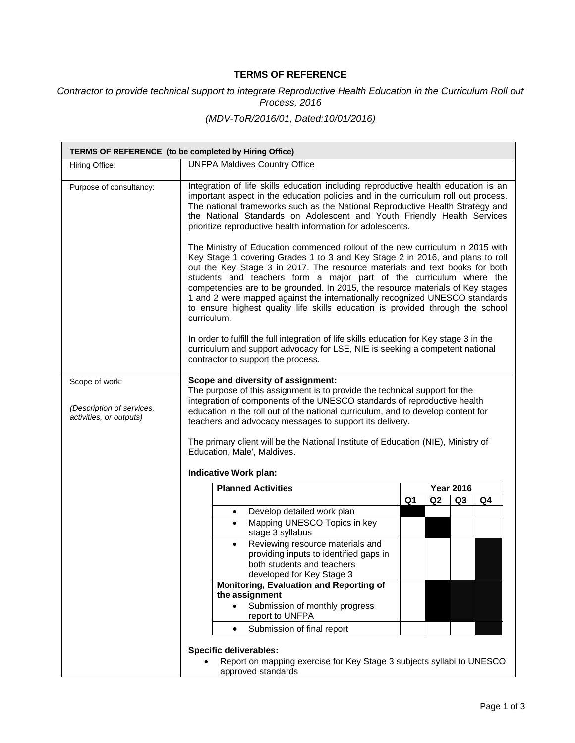## **TERMS OF REFERENCE**

*Contractor to provide technical support to integrate Reproductive Health Education in the Curriculum Roll out Process, 2016* 

## *(MDV-ToR/2016/01, Dated:10/01/2016)*

|                                                      | TERMS OF REFERENCE (to be completed by Hiring Office)                                                                                                                                                                                                                                                                                                                                                                                                                                                                                                                                   |    |    |                  |    |  |
|------------------------------------------------------|-----------------------------------------------------------------------------------------------------------------------------------------------------------------------------------------------------------------------------------------------------------------------------------------------------------------------------------------------------------------------------------------------------------------------------------------------------------------------------------------------------------------------------------------------------------------------------------------|----|----|------------------|----|--|
| Hiring Office:                                       | <b>UNFPA Maldives Country Office</b>                                                                                                                                                                                                                                                                                                                                                                                                                                                                                                                                                    |    |    |                  |    |  |
| Purpose of consultancy:                              | Integration of life skills education including reproductive health education is an<br>important aspect in the education policies and in the curriculum roll out process.<br>The national frameworks such as the National Reproductive Health Strategy and<br>the National Standards on Adolescent and Youth Friendly Health Services<br>prioritize reproductive health information for adolescents.                                                                                                                                                                                     |    |    |                  |    |  |
|                                                      | The Ministry of Education commenced rollout of the new curriculum in 2015 with<br>Key Stage 1 covering Grades 1 to 3 and Key Stage 2 in 2016, and plans to roll<br>out the Key Stage 3 in 2017. The resource materials and text books for both<br>students and teachers form a major part of the curriculum where the<br>competencies are to be grounded. In 2015, the resource materials of Key stages<br>1 and 2 were mapped against the internationally recognized UNESCO standards<br>to ensure highest quality life skills education is provided through the school<br>curriculum. |    |    |                  |    |  |
|                                                      | In order to fulfill the full integration of life skills education for Key stage 3 in the<br>curriculum and support advocacy for LSE, NIE is seeking a competent national<br>contractor to support the process.                                                                                                                                                                                                                                                                                                                                                                          |    |    |                  |    |  |
| Scope of work:                                       | Scope and diversity of assignment:                                                                                                                                                                                                                                                                                                                                                                                                                                                                                                                                                      |    |    |                  |    |  |
| (Description of services,<br>activities, or outputs) | The purpose of this assignment is to provide the technical support for the<br>integration of components of the UNESCO standards of reproductive health<br>education in the roll out of the national curriculum, and to develop content for<br>teachers and advocacy messages to support its delivery.<br>The primary client will be the National Institute of Education (NIE), Ministry of<br>Education, Male', Maldives.<br><b>Indicative Work plan:</b>                                                                                                                               |    |    |                  |    |  |
|                                                      |                                                                                                                                                                                                                                                                                                                                                                                                                                                                                                                                                                                         |    |    |                  |    |  |
|                                                      | <b>Planned Activities</b>                                                                                                                                                                                                                                                                                                                                                                                                                                                                                                                                                               |    |    | <b>Year 2016</b> |    |  |
|                                                      |                                                                                                                                                                                                                                                                                                                                                                                                                                                                                                                                                                                         | Q1 | Q2 | Q <sub>3</sub>   | Q4 |  |
|                                                      | Develop detailed work plan<br>$\bullet$                                                                                                                                                                                                                                                                                                                                                                                                                                                                                                                                                 |    |    |                  |    |  |
|                                                      | Mapping UNESCO Topics in key<br>$\bullet$<br>stage 3 syllabus                                                                                                                                                                                                                                                                                                                                                                                                                                                                                                                           |    |    |                  |    |  |
|                                                      | Reviewing resource materials and                                                                                                                                                                                                                                                                                                                                                                                                                                                                                                                                                        |    |    |                  |    |  |
|                                                      | providing inputs to identified gaps in<br>both students and teachers                                                                                                                                                                                                                                                                                                                                                                                                                                                                                                                    |    |    |                  |    |  |
|                                                      | developed for Key Stage 3                                                                                                                                                                                                                                                                                                                                                                                                                                                                                                                                                               |    |    |                  |    |  |
|                                                      | Monitoring, Evaluation and Reporting of                                                                                                                                                                                                                                                                                                                                                                                                                                                                                                                                                 |    |    |                  |    |  |
|                                                      | the assignment<br>Submission of monthly progress                                                                                                                                                                                                                                                                                                                                                                                                                                                                                                                                        |    |    |                  |    |  |
|                                                      | report to UNFPA                                                                                                                                                                                                                                                                                                                                                                                                                                                                                                                                                                         |    |    |                  |    |  |
|                                                      | Submission of final report<br>$\bullet$                                                                                                                                                                                                                                                                                                                                                                                                                                                                                                                                                 |    |    |                  |    |  |
|                                                      | <b>Specific deliverables:</b>                                                                                                                                                                                                                                                                                                                                                                                                                                                                                                                                                           |    |    |                  |    |  |
|                                                      | Report on mapping exercise for Key Stage 3 subjects syllabi to UNESCO                                                                                                                                                                                                                                                                                                                                                                                                                                                                                                                   |    |    |                  |    |  |
|                                                      | approved standards                                                                                                                                                                                                                                                                                                                                                                                                                                                                                                                                                                      |    |    |                  |    |  |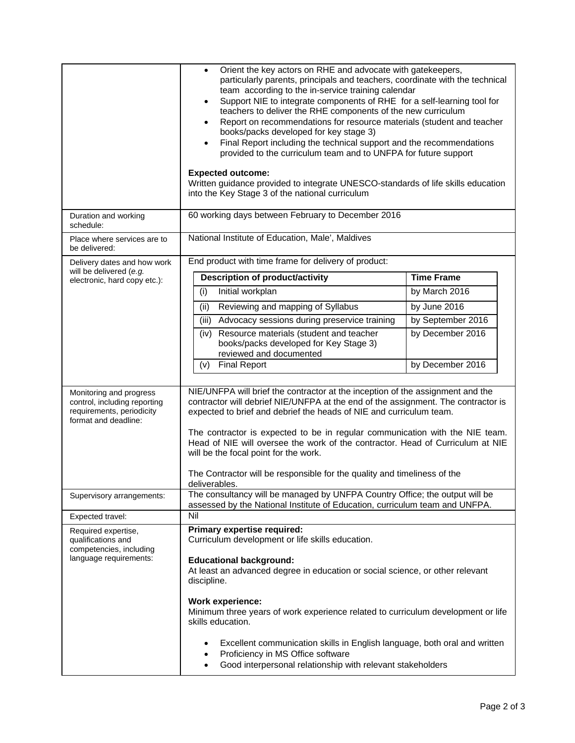|                                                                                                              | Orient the key actors on RHE and advocate with gatekeepers,<br>$\bullet$<br>particularly parents, principals and teachers, coordinate with the technical<br>team according to the in-service training calendar<br>Support NIE to integrate components of RHE for a self-learning tool for<br>٠<br>teachers to deliver the RHE components of the new curriculum<br>Report on recommendations for resource materials (student and teacher<br>٠<br>books/packs developed for key stage 3)<br>Final Report including the technical support and the recommendations<br>٠<br>provided to the curriculum team and to UNFPA for future support<br><b>Expected outcome:</b><br>Written guidance provided to integrate UNESCO-standards of life skills education<br>into the Key Stage 3 of the national curriculum |                   |  |  |  |
|--------------------------------------------------------------------------------------------------------------|-----------------------------------------------------------------------------------------------------------------------------------------------------------------------------------------------------------------------------------------------------------------------------------------------------------------------------------------------------------------------------------------------------------------------------------------------------------------------------------------------------------------------------------------------------------------------------------------------------------------------------------------------------------------------------------------------------------------------------------------------------------------------------------------------------------|-------------------|--|--|--|
| Duration and working<br>schedule:                                                                            | 60 working days between February to December 2016                                                                                                                                                                                                                                                                                                                                                                                                                                                                                                                                                                                                                                                                                                                                                         |                   |  |  |  |
| Place where services are to<br>be delivered:                                                                 | National Institute of Education, Male', Maldives                                                                                                                                                                                                                                                                                                                                                                                                                                                                                                                                                                                                                                                                                                                                                          |                   |  |  |  |
| Delivery dates and how work<br>will be delivered (e.g.                                                       | End product with time frame for delivery of product:                                                                                                                                                                                                                                                                                                                                                                                                                                                                                                                                                                                                                                                                                                                                                      |                   |  |  |  |
| electronic, hard copy etc.):                                                                                 | Description of product/activity                                                                                                                                                                                                                                                                                                                                                                                                                                                                                                                                                                                                                                                                                                                                                                           | <b>Time Frame</b> |  |  |  |
|                                                                                                              | Initial workplan<br>(i)                                                                                                                                                                                                                                                                                                                                                                                                                                                                                                                                                                                                                                                                                                                                                                                   | by March 2016     |  |  |  |
|                                                                                                              | Reviewing and mapping of Syllabus<br>(ii)                                                                                                                                                                                                                                                                                                                                                                                                                                                                                                                                                                                                                                                                                                                                                                 | by June 2016      |  |  |  |
|                                                                                                              | (iii)<br>Advocacy sessions during preservice training                                                                                                                                                                                                                                                                                                                                                                                                                                                                                                                                                                                                                                                                                                                                                     | by September 2016 |  |  |  |
|                                                                                                              | Resource materials (student and teacher<br>(iv)<br>books/packs developed for Key Stage 3)<br>reviewed and documented                                                                                                                                                                                                                                                                                                                                                                                                                                                                                                                                                                                                                                                                                      | by December 2016  |  |  |  |
|                                                                                                              | <b>Final Report</b><br>(v)                                                                                                                                                                                                                                                                                                                                                                                                                                                                                                                                                                                                                                                                                                                                                                                | by December 2016  |  |  |  |
| Monitoring and progress<br>control, including reporting<br>requirements, periodicity<br>format and deadline: | NIE/UNFPA will brief the contractor at the inception of the assignment and the<br>contractor will debrief NIE/UNFPA at the end of the assignment. The contractor is<br>expected to brief and debrief the heads of NIE and curriculum team.<br>The contractor is expected to be in regular communication with the NIE team.<br>Head of NIE will oversee the work of the contractor. Head of Curriculum at NIE<br>will be the focal point for the work.<br>The Contractor will be responsible for the quality and timeliness of the<br>deliverables.                                                                                                                                                                                                                                                        |                   |  |  |  |
| Supervisory arrangements:                                                                                    | The consultancy will be managed by UNFPA Country Office; the output will be<br>assessed by the National Institute of Education, curriculum team and UNFPA.                                                                                                                                                                                                                                                                                                                                                                                                                                                                                                                                                                                                                                                |                   |  |  |  |
| Expected travel:                                                                                             | Nil                                                                                                                                                                                                                                                                                                                                                                                                                                                                                                                                                                                                                                                                                                                                                                                                       |                   |  |  |  |
| Required expertise,<br>qualifications and<br>competencies, including<br>language requirements:               | Primary expertise required:<br>Curriculum development or life skills education.<br><b>Educational background:</b><br>At least an advanced degree in education or social science, or other relevant<br>discipline.<br><b>Work experience:</b><br>Minimum three years of work experience related to curriculum development or life<br>skills education.<br>Excellent communication skills in English language, both oral and written<br>٠<br>Proficiency in MS Office software                                                                                                                                                                                                                                                                                                                              |                   |  |  |  |
|                                                                                                              | Good interpersonal relationship with relevant stakeholders                                                                                                                                                                                                                                                                                                                                                                                                                                                                                                                                                                                                                                                                                                                                                |                   |  |  |  |